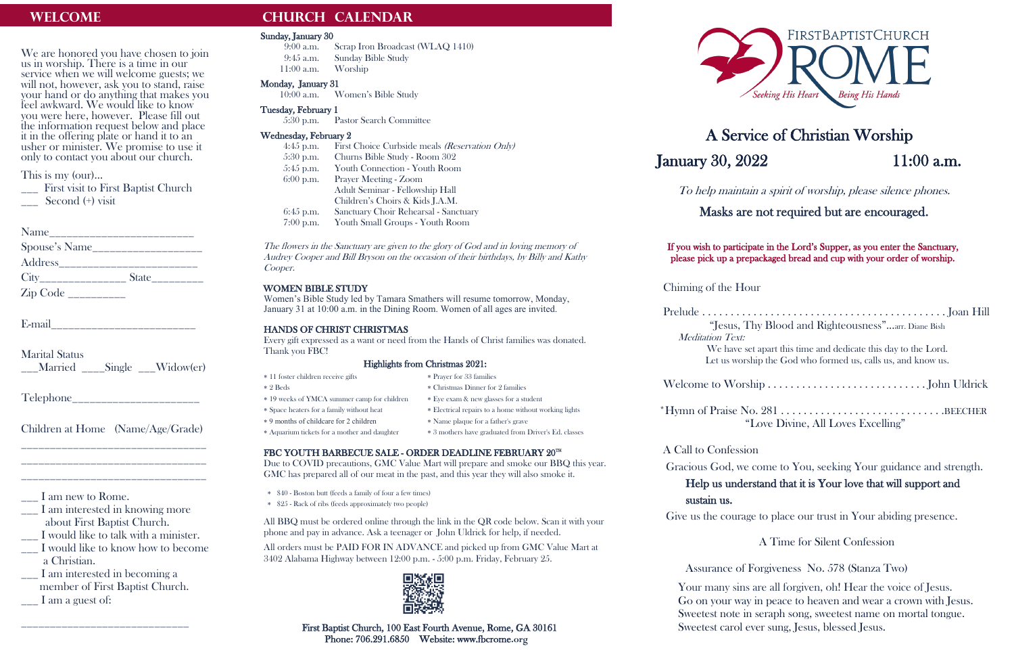We are honored you have chosen to join us in worship. There is a time in our service when we will welcome guests; we will not, however, ask you to stand, raise your hand or do anything that makes you feel awkward. We would like to know you were here, however. Please fill out the information request below and place it in the offering plate or hand it to an usher or minister. We promise to use it only to contact you about our church.

\_\_\_ First visit to First Baptist Church Second (+) visit

| Name                       |       |  |
|----------------------------|-------|--|
| Spouse's Name              |       |  |
| Address <sub>_______</sub> |       |  |
|                            | State |  |
|                            |       |  |

E-mail

This is my (our)…

- \_\_\_ I am interested in knowing more about First Baptist Church.
- \_\_\_ I would like to talk with a minister.
- \_\_\_ I would like to know how to become a Christian.
- \_\_\_ I am interested in becoming a member of First Baptist Church.  $\frac{1}{\sqrt{2}}$  I am a guest of:

Marital Status \_\_\_Married \_\_\_\_Single \_\_\_Widow(er)

Telephone\_\_\_\_\_\_\_\_\_\_\_\_\_\_\_\_\_\_\_\_\_\_

Children at Home (Name/Age/Grade) \_\_\_\_\_\_\_\_\_\_\_\_\_\_\_\_\_\_\_\_\_\_\_\_\_\_\_\_\_\_\_\_

\_\_\_\_\_\_\_\_\_\_\_\_\_\_\_\_\_\_\_\_\_\_\_\_\_\_\_\_\_\_\_\_ \_\_\_\_\_\_\_\_\_\_\_\_\_\_\_\_\_\_\_\_\_\_\_\_\_\_\_\_\_\_\_\_

\_\_\_ I am new to Rome.

\_\_\_\_\_\_\_\_\_\_\_\_\_\_\_\_\_\_\_\_\_\_\_\_\_\_\_\_\_

## **WELCOME CHURCH CALENDAR**

#### Sunday, January 30

9:00 a.m. Scrap Iron Broadcast (WLAQ 1410) 9:45 a.m. Sunday Bible Study 11:00 a.m. Worship

#### Monday, January 31

- 10:00 a.m. Women's Bible Study
- Tuesday, February 1
	- 5:30 p.m. Pastor Search Committee

#### Wednesday, February 2

4:45 p.m. First Choice Curbside meals (Reservation Only) 5:30 p.m. Churns Bible Study - Room 302 5:45 p.m. Youth Connection - Youth Room 6:00 p.m. Prayer Meeting - Zoom Adult Seminar - Fellowship Hall Children's Choirs & Kids J.A.M. 6:45 p.m. Sanctuary Choir Rehearsal - Sanctuary 7:00 p.m. Youth Small Groups - Youth Room

 First Baptist Church, 100 East Fourth Avenue, Rome, GA 30161 Phone: 706.291.6850 Website: www.fbcrome.org



## A Service of Christian Worship **January 30, 2022** 11:00 a.m.

The flowers in the Sanctuary are given to the glory of God and in loving memory of Audrey Cooper and Bill Bryson on the occasion of their birthdays, by Billy and Kathy Cooper.

#### WOMEN BIBLE STUDY

Women's Bible Study led by Tamara Smathers will resume tomorrow, Monday, January 31 at 10:00 a.m. in the Dining Room. Women of all ages are invited.

#### HANDS OF CHRIST CHRISTMAS

Every gift expressed as a want or need from the Hands of Christ families was donated. Thank you FBC!

#### Highlights from Christmas 2021:

- 11 foster children receive gifts Prayer for 33 families
- 2 Beds Christmas Dinner for 2 families
- \* 19 weeks of YMCA summer camp for children \* Eye exam & new glasses for a student
- Space heaters for a family without heat Electrical repairs to a home without working lights
- \* 9 months of childcare for 2 children \* Name plaque for a father's grave
- 
- -
- Aquarium tickets for a mother and daughter 3 mothers have graduated from Driver's Ed. classes

### FBC YOUTH BARBECUE SALE - ORDER DEADLINE FEBRUARY 20TH

Due to COVID precautions, GMC Value Mart will prepare and smoke our BBQ this year. GMC has prepared all of our meat in the past, and this year they will also smoke it.

- \* \$40 Boston butt (feeds a family of four a few times)
- \* \$25 Rack of ribs (feeds approximately two people)

All BBQ must be ordered online through the link in the QR code below. Scan it with your phone and pay in advance. Ask a teenager or John Uldrick for help, if needed.

All orders must be PAID FOR IN ADVANCE and picked up from GMC Value Mart at 3402 Alabama Highway between 12:00 p.m. - 5:00 p.m. Friday, February 25.



To help maintain a spirit of worship, please silence phones.

Masks are not required but are encouraged.

If you wish to participate in the Lord's Supper, as you enter the Sanctuary, please pick up a prepackaged bread and cup with your order of worship.

Chiming of the Hour

Prelude . . . . . . . . . . . . . . . . . . . . . . . . . . . . . . . . . . . . . . . . . . . Joan Hill "Jesus, Thy Blood and Righteousness"...arr. Diane Bish

Meditation Text:

We have set apart this time and dedicate this day to the Lord. Let us worship the God who formed us, calls us, and know us.

Give us the courage to place our trust in Your abiding presence.

Welcome to Worship . . . . . . . . . . . . . . . . . . . . . . . . . . . . John Uldrick \*Hymn of Praise No. 281 . . . . . . . . . . . . . . . . . . . . . . . . . . . . .BEECHER "Love Divine, All Loves Excelling"

## A Call to Confession

Gracious God, we come to You, seeking Your guidance and strength. Help us understand that it is Your love that will support and

# sustain us.

A Time for Silent Confession

Assurance of Forgiveness No. 578 (Stanza Two)

Your many sins are all forgiven, oh! Hear the voice of Jesus. Go on your way in peace to heaven and wear a crown with Jesus. Sweetest note in seraph song, sweetest name on mortal tongue. Sweetest carol ever sung, Jesus, blessed Jesus.

- 
- 
-